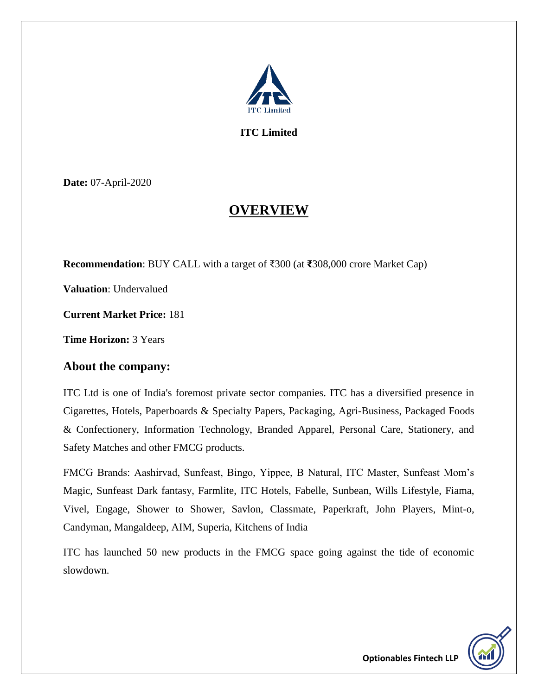

**ITC Limited**

**Date:** 07-April-2020

## **OVERVIEW**

**Recommendation**: BUY CALL with a target of ₹300 (at **₹**308,000 crore Market Cap)

**Valuation**: Undervalued

**Current Market Price:** 181

**Time Horizon:** 3 Years

#### **About the company:**

ITC Ltd is one of India's foremost private sector companies. ITC has a diversified presence in Cigarettes, Hotels, Paperboards & Specialty Papers, Packaging, Agri-Business, Packaged Foods & Confectionery, Information Technology, Branded Apparel, Personal Care, Stationery, and Safety Matches and other FMCG products.

FMCG Brands: Aashirvad, Sunfeast, Bingo, Yippee, B Natural, ITC Master, Sunfeast Mom's Magic, Sunfeast Dark fantasy, Farmlite, ITC Hotels, Fabelle, Sunbean, Wills Lifestyle, Fiama, Vivel, Engage, Shower to Shower, Savlon, Classmate, Paperkraft, John Players, Mint-o, Candyman, Mangaldeep, AIM, Superia, Kitchens of India

ITC has launched 50 new products in the FMCG space going against the tide of economic slowdown.

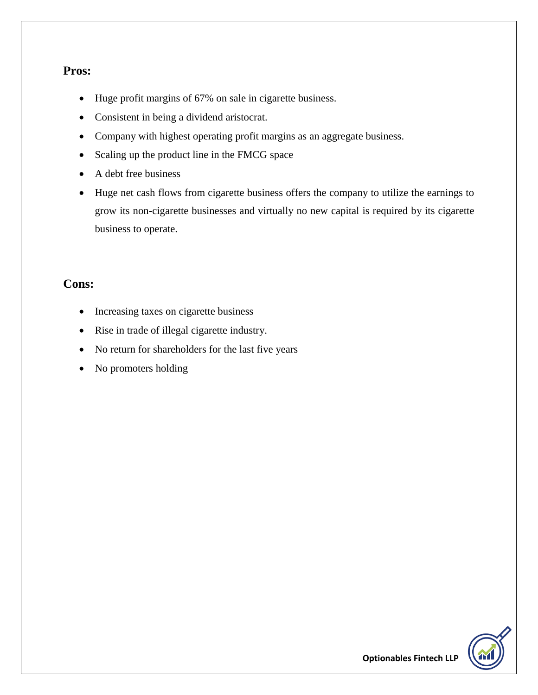#### **Pros:**

- Huge profit margins of 67% on sale in cigarette business.
- Consistent in being a dividend aristocrat.
- Company with highest operating profit margins as an aggregate business.
- Scaling up the product line in the FMCG space
- A debt free business
- Huge net cash flows from cigarette business offers the company to utilize the earnings to grow its non-cigarette businesses and virtually no new capital is required by its cigarette business to operate.

#### **Cons:**

- Increasing taxes on cigarette business
- Rise in trade of illegal cigarette industry.
- No return for shareholders for the last five years
- No promoters holding

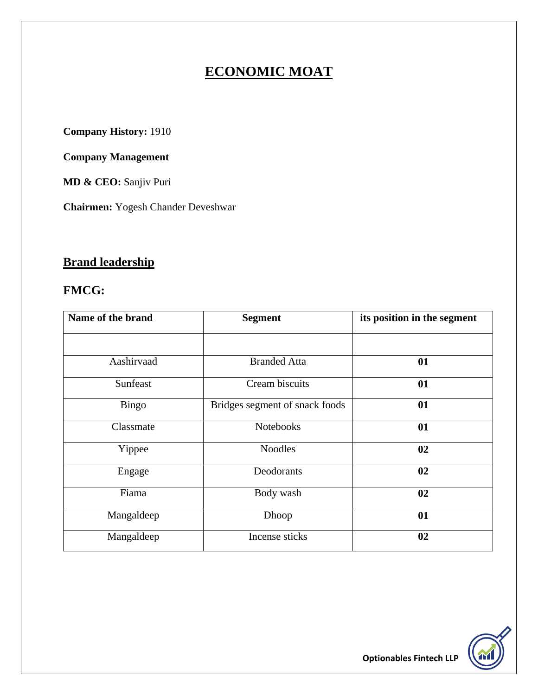# **ECONOMIC MOAT**

**Company History:** 1910

**Company Management**

**MD & CEO:** Sanjiv Puri

**Chairmen:** Yogesh Chander Deveshwar

# **Brand leadership**

#### **FMCG:**

| Name of the brand | <b>Segment</b>                 | its position in the segment |  |
|-------------------|--------------------------------|-----------------------------|--|
|                   |                                |                             |  |
| Aashirvaad        | <b>Branded Atta</b>            | 01                          |  |
| Sunfeast          | Cream biscuits                 | 01                          |  |
| <b>Bingo</b>      | Bridges segment of snack foods | 01                          |  |
| Classmate         | <b>Notebooks</b>               | 01                          |  |
| Yippee            | <b>Noodles</b>                 | 02                          |  |
| Engage            | Deodorants                     | 02                          |  |
| Fiama             | Body wash                      | 02                          |  |
| Mangaldeep        | Dhoop                          | 01                          |  |
| Mangaldeep        | Incense sticks                 | 02                          |  |

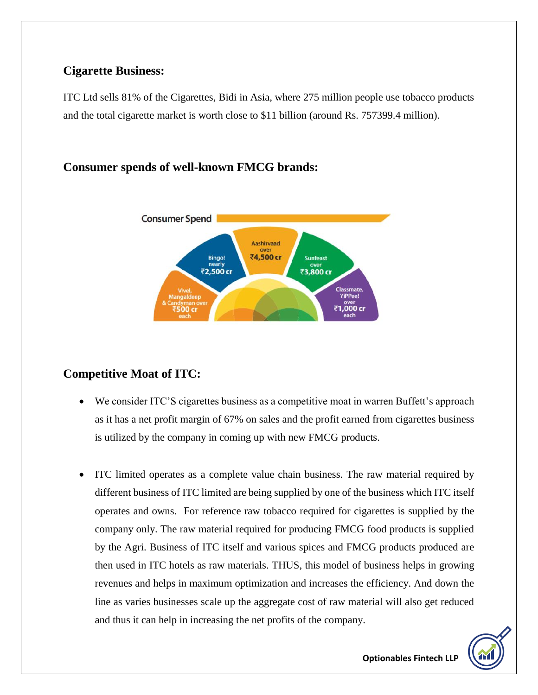### **Cigarette Business:**

ITC Ltd sells 81% of the Cigarettes, Bidi in Asia, where 275 million people use tobacco products and the total cigarette market is worth close to \$11 billion (around Rs. 757399.4 million).

## **Consumer spends of well-known FMCG brands:**



## **Competitive Moat of ITC:**

- We consider ITC'S cigarettes business as a competitive moat in warren Buffett's approach as it has a net profit margin of 67% on sales and the profit earned from cigarettes business is utilized by the company in coming up with new FMCG products.
- ITC limited operates as a complete value chain business. The raw material required by different business of ITC limited are being supplied by one of the business which ITC itself operates and owns.For reference raw tobacco required for cigarettes is supplied by the company only. The raw material required for producing FMCG food products is supplied by the Agri. Business of ITC itself and various spices and FMCG products produced are then used in ITC hotels as raw materials. THUS, this model of business helps in growing revenues and helps in maximum optimization and increases the efficiency. And down the line as varies businesses scale up the aggregate cost of raw material will also get reduced and thus it can help in increasing the net profits of the company.

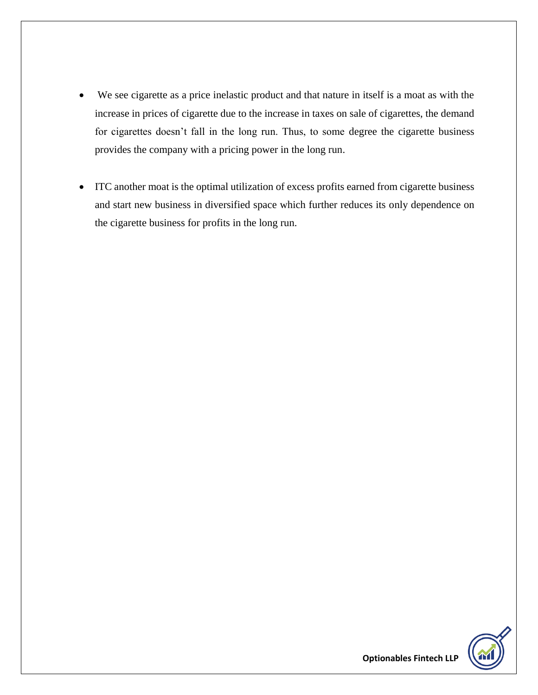- We see cigarette as a price inelastic product and that nature in itself is a moat as with the increase in prices of cigarette due to the increase in taxes on sale of cigarettes, the demand for cigarettes doesn't fall in the long run. Thus, to some degree the cigarette business provides the company with a pricing power in the long run.
- ITC another moat is the optimal utilization of excess profits earned from cigarette business and start new business in diversified space which further reduces its only dependence on the cigarette business for profits in the long run.

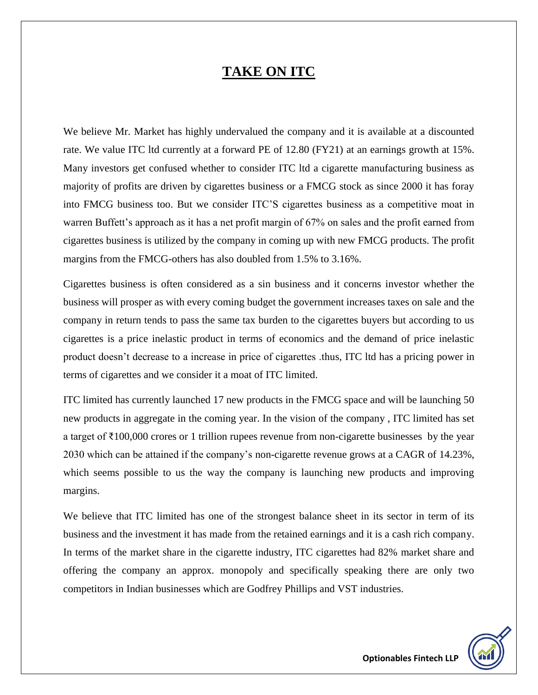## **TAKE ON ITC**

We believe Mr. Market has highly undervalued the company and it is available at a discounted rate. We value ITC ltd currently at a forward PE of 12.80 (FY21) at an earnings growth at 15%. Many investors get confused whether to consider ITC ltd a cigarette manufacturing business as majority of profits are driven by cigarettes business or a FMCG stock as since 2000 it has foray into FMCG business too. But we consider ITC'S cigarettes business as a competitive moat in warren Buffett's approach as it has a net profit margin of 67% on sales and the profit earned from cigarettes business is utilized by the company in coming up with new FMCG products. The profit margins from the FMCG-others has also doubled from 1.5% to 3.16%.

Cigarettes business is often considered as a sin business and it concerns investor whether the business will prosper as with every coming budget the government increases taxes on sale and the company in return tends to pass the same tax burden to the cigarettes buyers but according to us cigarettes is a price inelastic product in terms of economics and the demand of price inelastic product doesn't decrease to a increase in price of cigarettes .thus, ITC ltd has a pricing power in terms of cigarettes and we consider it a moat of ITC limited.

ITC limited has currently launched 17 new products in the FMCG space and will be launching 50 new products in aggregate in the coming year. In the vision of the company , ITC limited has set a target of ₹100,000 crores or 1 trillion rupees revenue from non-cigarette businesses by the year 2030 which can be attained if the company's non-cigarette revenue grows at a CAGR of 14.23%, which seems possible to us the way the company is launching new products and improving margins.

We believe that ITC limited has one of the strongest balance sheet in its sector in term of its business and the investment it has made from the retained earnings and it is a cash rich company. In terms of the market share in the cigarette industry, ITC cigarettes had 82% market share and offering the company an approx. monopoly and specifically speaking there are only two competitors in Indian businesses which are Godfrey Phillips and VST industries.

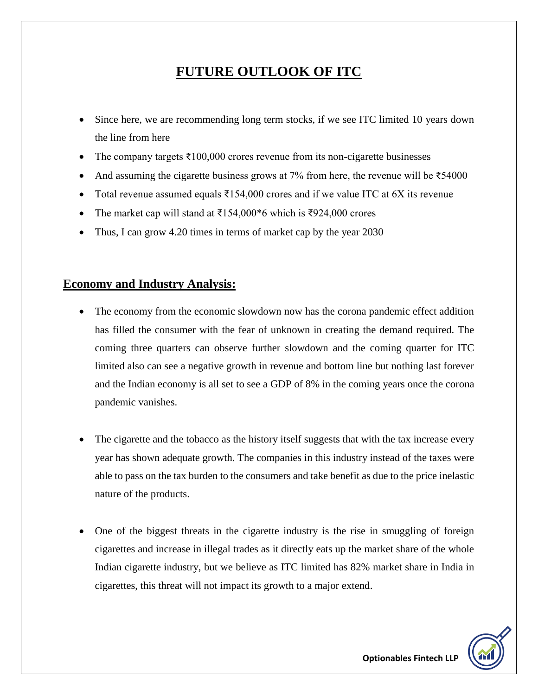# **FUTURE OUTLOOK OF ITC**

- Since here, we are recommending long term stocks, if we see ITC limited 10 years down the line from here
- The company targets  $\text{\textsterling}100,000$  crores revenue from its non-cigarette businesses
- And assuming the cigarette business grows at 7% from here, the revenue will be  $\overline{5}54000$
- Total revenue assumed equals  $\bar{\tau}$ 154,000 crores and if we value ITC at 6X its revenue
- The market cap will stand at  $\overline{5154,000*}6$  which is  $\overline{5924,000}$  crores
- Thus, I can grow 4.20 times in terms of market cap by the year 2030

#### **Economy and Industry Analysis:**

- The economy from the economic slowdown now has the corona pandemic effect addition has filled the consumer with the fear of unknown in creating the demand required. The coming three quarters can observe further slowdown and the coming quarter for ITC limited also can see a negative growth in revenue and bottom line but nothing last forever and the Indian economy is all set to see a GDP of 8% in the coming years once the corona pandemic vanishes.
- The cigarette and the tobacco as the history itself suggests that with the tax increase every year has shown adequate growth. The companies in this industry instead of the taxes were able to pass on the tax burden to the consumers and take benefit as due to the price inelastic nature of the products.
- One of the biggest threats in the cigarette industry is the rise in smuggling of foreign cigarettes and increase in illegal trades as it directly eats up the market share of the whole Indian cigarette industry, but we believe as ITC limited has 82% market share in India in cigarettes, this threat will not impact its growth to a major extend.

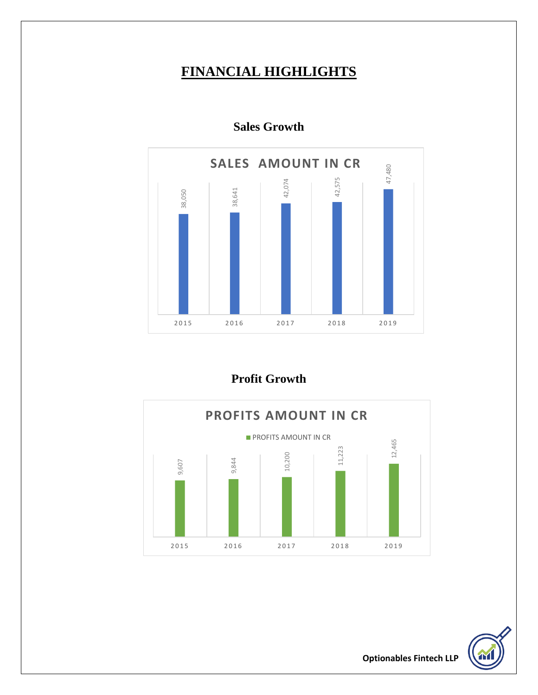## **FINANCIAL HIGHLIGHTS**



**Sales Growth**

**Profit Growth** 



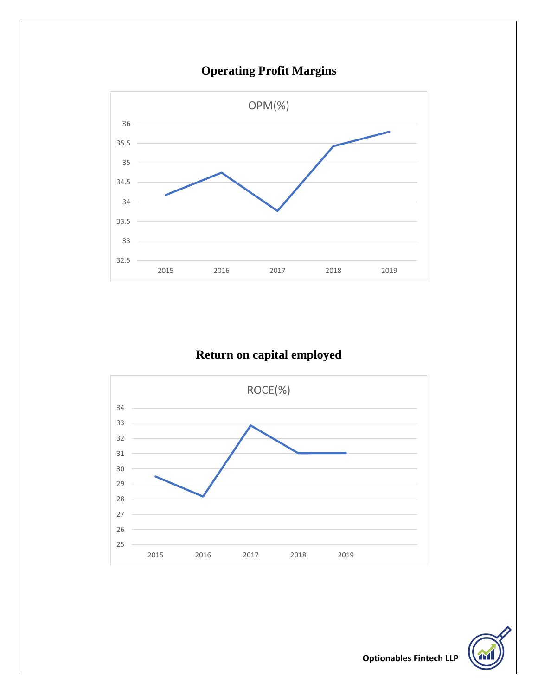

# **Operating Profit Margins**

# **Return on capital employed**



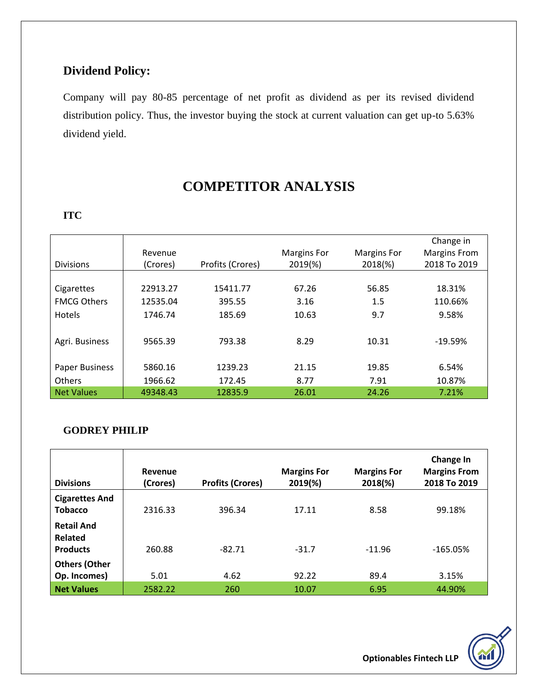## **Dividend Policy:**

Company will pay 80-85 percentage of net profit as dividend as per its revised dividend distribution policy. Thus, the investor buying the stock at current valuation can get up-to 5.63% dividend yield.

# **COMPETITOR ANALYSIS**

#### **ITC**

| <b>Divisions</b>      | Revenue<br>(Crores) | Profits (Crores) | <b>Margins For</b><br>2019(%) | <b>Margins For</b><br>2018(%) | Change in<br><b>Margins From</b><br>2018 To 2019 |
|-----------------------|---------------------|------------------|-------------------------------|-------------------------------|--------------------------------------------------|
|                       |                     |                  |                               |                               |                                                  |
| Cigarettes            | 22913.27            | 15411.77         | 67.26                         | 56.85                         | 18.31%                                           |
| <b>FMCG Others</b>    | 12535.04            | 395.55           | 3.16                          | 1.5                           | 110.66%                                          |
| <b>Hotels</b>         | 1746.74             | 185.69           | 10.63                         | 9.7                           | 9.58%                                            |
| Agri. Business        | 9565.39             | 793.38           | 8.29                          | 10.31                         | $-19.59%$                                        |
| <b>Paper Business</b> | 5860.16             | 1239.23          | 21.15                         | 19.85                         | 6.54%                                            |
| <b>Others</b>         | 1966.62             | 172.45           | 8.77                          | 7.91                          | 10.87%                                           |
| <b>Net Values</b>     | 49348.43            | 12835.9          | 26.01                         | 24.26                         | 7.21%                                            |

#### **GODREY PHILIP**

| <b>Divisions</b>                                       | Revenue<br>(Crores) | <b>Profits (Crores)</b> | <b>Margins For</b><br>$2019(\%)$ | <b>Margins For</b><br>2018(%) | Change In<br><b>Margins From</b><br>2018 To 2019 |
|--------------------------------------------------------|---------------------|-------------------------|----------------------------------|-------------------------------|--------------------------------------------------|
| <b>Cigarettes And</b><br><b>Tobacco</b>                | 2316.33             | 396.34                  | 17.11                            | 8.58                          | 99.18%                                           |
| <b>Retail And</b><br><b>Related</b><br><b>Products</b> | 260.88              | $-82.71$                | $-31.7$                          | $-11.96$                      | $-165.05%$                                       |
| <b>Others (Other</b><br>Op. Incomes)                   | 5.01                | 4.62                    | 92.22                            | 89.4                          | 3.15%                                            |
| <b>Net Values</b>                                      | 2582.22             | 260                     | 10.07                            | 6.95                          | 44.90%                                           |

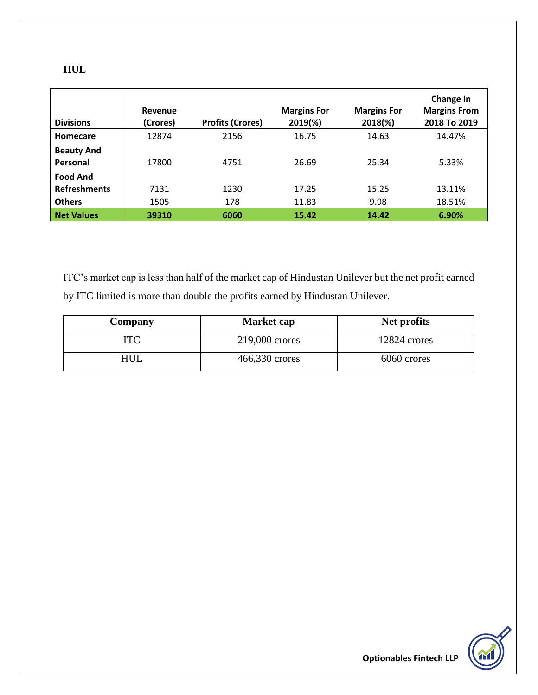| ×<br>۰, |  |
|---------|--|

| <b>Divisions</b>              | Revenue<br>(Crores) | <b>Profits (Crores)</b> | <b>Margins For</b><br>2019(%) | <b>Margins For</b><br>2018(%) | Change In<br><b>Margins From</b><br>2018 To 2019 |
|-------------------------------|---------------------|-------------------------|-------------------------------|-------------------------------|--------------------------------------------------|
| Homecare                      | 12874               | 2156                    | 16.75                         | 14.63                         | 14.47%                                           |
| <b>Beauty And</b><br>Personal | 17800               | 4751                    | 26.69                         | 25.34                         | 5.33%                                            |
| <b>Food And</b>               |                     |                         |                               |                               |                                                  |
| <b>Refreshments</b>           | 7131                | 1230                    | 17.25                         | 15.25                         | 13.11%                                           |
| <b>Others</b>                 | 1505                | 178                     | 11.83                         | 9.98                          | 18.51%                                           |
| <b>Net Values</b>             | 39310               | 6060                    | 15.42                         | 14.42                         | 6.90%                                            |

ITC's market cap is less than half of the market cap of Hindustan Unilever but the net profit earned by ITC limited is more than double the profits earned by Hindustan Unilever.

| <b>Company</b> | <b>Market cap</b> | Net profits  |
|----------------|-------------------|--------------|
| ITC            | 219,000 crores    | 12824 crores |
| HUL            | 466,330 crores    | 6060 crores  |

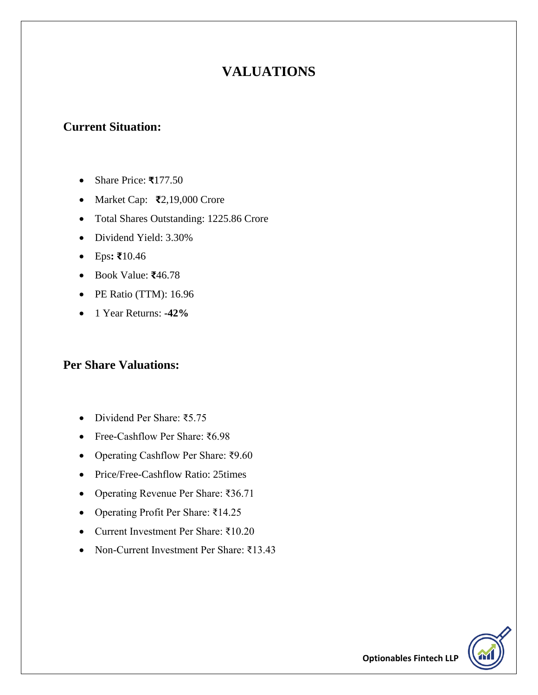# **VALUATIONS**

## **Current Situation:**

- Share Price: **₹**177.50
- Market Cap: **₹**2,19,000 Crore
- Total Shares Outstanding: 1225.86 Crore
- Dividend Yield: 3.30%
- Eps**: ₹**10.46
- Book Value: **₹**46.78
- PE Ratio (TTM): 16.96
- 1 Year Returns: **-42%**

## **Per Share Valuations:**

- Dividend Per Share: ₹5.75
- Free-Cashflow Per Share: ₹6.98
- Operating Cashflow Per Share: ₹9.60
- Price/Free-Cashflow Ratio: 25times
- Operating Revenue Per Share: ₹36.71
- Operating Profit Per Share: ₹14.25
- Current Investment Per Share: ₹10.20
- Non-Current Investment Per Share: ₹13.43

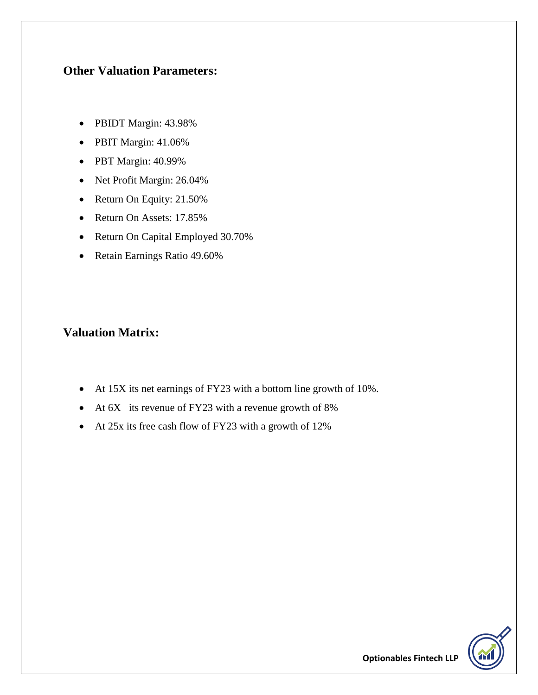#### **Other Valuation Parameters:**

- PBIDT Margin: 43.98%
- PBIT Margin: 41.06%
- PBT Margin: 40.99%
- Net Profit Margin: 26.04%
- Return On Equity: 21.50%
- Return On Assets: 17.85%
- Return On Capital Employed 30.70%
- Retain Earnings Ratio 49.60%

### **Valuation Matrix:**

- At 15X its net earnings of FY23 with a bottom line growth of 10%.
- At 6X its revenue of FY23 with a revenue growth of 8%
- At 25x its free cash flow of FY23 with a growth of 12%

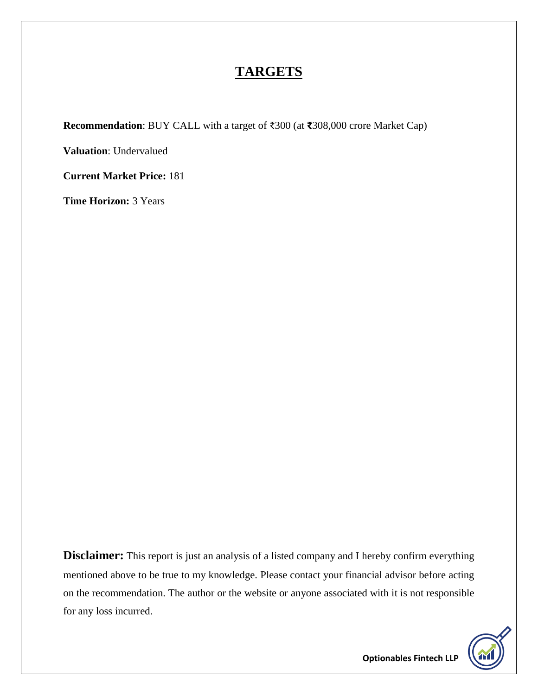## **TARGETS**

**Recommendation**: BUY CALL with a target of ₹300 (at **₹**308,000 crore Market Cap)

**Valuation**: Undervalued

**Current Market Price:** 181

**Time Horizon:** 3 Years

**Disclaimer:** This report is just an analysis of a listed company and I hereby confirm everything mentioned above to be true to my knowledge. Please contact your financial advisor before acting on the recommendation. The author or the website or anyone associated with it is not responsible for any loss incurred.